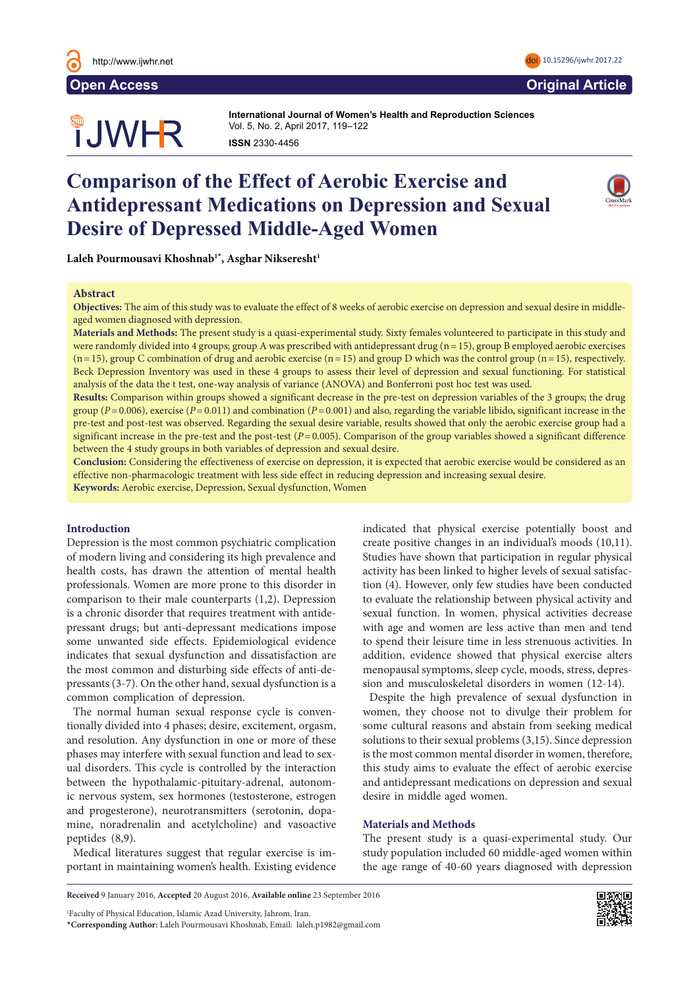

# **JWHR**

**International Journal of Women's Health and Reproduction Sciences International Journal of Women's Health and Reproduction Sciences**  Vol. 5, No. 2, April 2017, 119–122 Vol. 3, No. 3, July 2015, 126–131 **ISSN** 2330- 4456 **ISSN** 2330- 4456

## **Comparison of the Effect of Aerobic Exercise and Antidepressant Medications on Depression and Sexual Desire of Depressed Middle-Aged Women**



 $\text{Label} \text{P}$ ourmousavi Khoshnab<sup>1\*</sup>, Asghar Nikseresht<sup>1</sup> We are 'extraordinary conditions conditions created by human interventable public health problems.' War and 'problems.' War and 'problems'  $\mathcal{P}$ 

#### **Abstract**  $\bf A$ bstract $\bf A$

Objectives: The aim of this study was to evaluate the effect of 8 weeks of aerobic exercise on depression and sexual desire in middleunit treatment such as being under such as being under such as being under such as being under such as being o<br>Land it is lived of the land it is lived of the land it is lived of the land it is lived of the land of the la

Materials and Methods: The present study is a quasi-experimental study. Sixty females volunteered to participate in this study and were randomly divided into 4 groups; group A was prescribed with antidepressant drug (n = 15), group B employed aerobic exercises  $(n=15)$ , group C combination of drug and aerobic exercise  $(n=15)$  and group D which was the control group  $(n=15)$ , respectively. Beck Depression Inventory was used in these 4 groups to assess their level of depression and sexual functioning. For statistical analysis of the data the t test, one-way analysis of variance (ANOVA) and Bonferroni post hoc test was used.

**Results:** Comparison within groups showed a significant decrease in the pre-test on depression variables of the 3 groups; the drug group ( $P = 0.006$ ), exercise ( $P = 0.011$ ) and combination ( $P = 0.001$ ) and also, regarding the variable libido, significant increase in the pre-test and post-test was observed. Regarding the sexual desire variable, results showed that only the aerobic exercise group had a significant increase in the pre-test and the post-test ( $P = 0.005$ ). Comparison of the group variables showed a significant difference between the 4 study groups in both variables of depression and sexual desire. in 1999 due to the effect of wars and that loss of the effect of the effect of  $\mathbf{A}$ 

**Conclusion:** Considering the effectiveness of exercise on depression, it is expected that aerobic exercise would be considered as an effective non-pharmacologic treatment with less side effect in reducing depression and increasing sexual desire. Keywords: Aerobic exercise, Depression, Sexual dysfunction, Women ssion, it is expected that aerobic exercise word  $\text{Fermi}$  institutions such as hospitals, laboratories and laboratories and laboratories and laboratories and laboratories and laboratories and laboratories and laboratories and laboratories and laboratories and laborator

### **Introduction**

Depression is the most common psychiatric complication of modern living and considering its high prevalence and health costs, has drawn the attention of mental health professionals. Women are more prone to this disorder in comparison to their male counterparts (1,2). Depression is a chronic disorder that requires treatment with antidepressant drugs; but anti-depressant medications impose some unwanted side effects. Epidemiological evidence indicates that sexual dysfunction and dissatisfaction are the most common and disturbing side effects of anti-depressants (3-7). On the other hand, sexual dysfunction is a common complication of depression. are conflict that desired that desired that desired and cultures and cultures and cultures and cultures and cu

The normal human sexual response cycle is conventionally divided into 4 phases; desire, excitement, orgasm, and resolution. Any dysfunction in one or more of these phases may interfere with sexual function and lead to sexand disorders. This cycle is controlled by the interaction between the hypothalamic-pituitary-adrenal, autonomic nervous system, sex hormones (testosterone, estrogen and progesterone), neurotransmitters (serotonin, dopamine, noradrenalin and acetylcholine) and vasoactive peptides (8,9).

Medical literatures suggest that regular exercise is important in maintaining women's health. Existing evidence

indicated that physical exercise potentially boost and create positive changes in an individual's moods  $(10,11)$ . Studies have shown that participation in regular physical activity has been linked to higher levels of sexual satisfaction (4). However, only few studies have been conducted to evaluate the relationship between physical activity and sexual function. In women, physical activities decrease with age and women are less active than men and tend what use und women are less active than men and tend<br>to spend their leisure time in less strenuous activities. In addition, evidence showed that physical exercise alters menopausal symptoms, sleep cycle, moods, stress, depression and musculoskeletal disorders in women (12-14). cause the migration of qualified health employees, and co spend then reisure three in ress strendous act

Despite the high prevalence of sexual dysfunction in women, they choose not to divulge their problem for some cultural reasons and abstain from seeking medical solutions to their sexual problems (3,15). Since depression is the most common mental disorder in women, therefore, this study aims to evaluate the effect of aerobic exercise and antidepressant medications on depression and sexual desire in middle aged women.

#### nd) vasoactive Materials and Methods

The present study is a quasi-experimental study. Our \***Corresponding author:** Yasemin Hamlaci, Department of Midwifery, Sakarya University, Sakarya, Turkey. Tel: +905556080628, study population included 60 middle-aged women within the age range of 40-60 years diagnosed with depression

**Received** 9 January 2016, **Accepted** 20 August 2016, **Available online** 23 September 2016

1 Faculty of Physical Education, Islamic Azad University, Jahrom, Iran. \***Corresponding Author:** Laleh Pourmousavi Khoshnab, Email: laleh.p1982@gmail.com

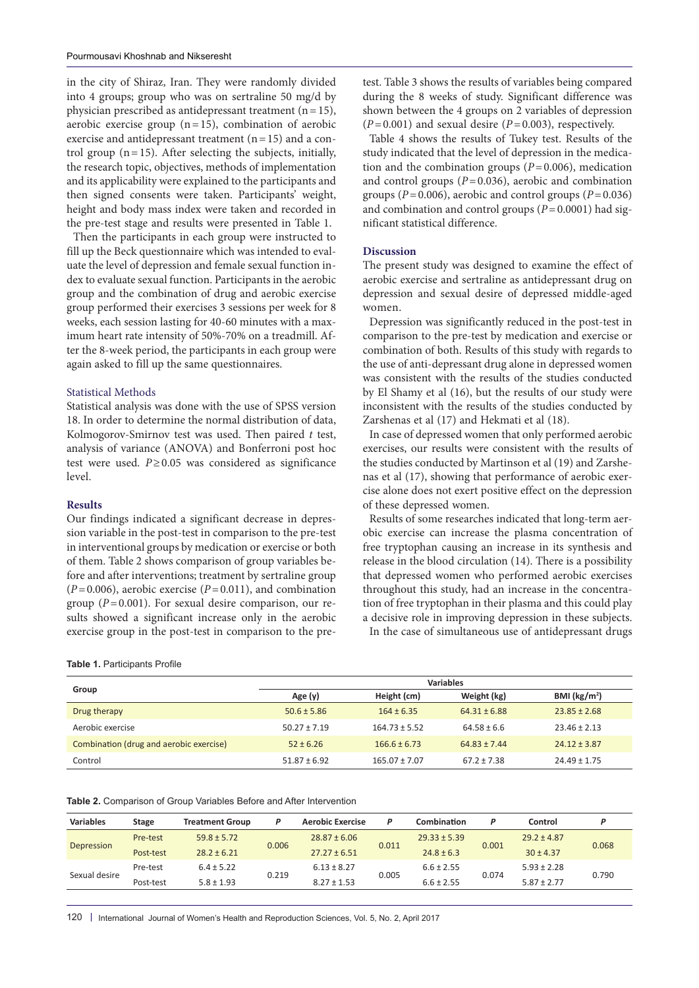in the city of Shiraz, Iran. They were randomly divided into 4 groups; group who was on sertraline 50 mg/d by physician prescribed as antidepressant treatment  $(n=15)$ , aerobic exercise group  $(n=15)$ , combination of aerobic exercise and antidepressant treatment  $(n=15)$  and a control group  $(n=15)$ . After selecting the subjects, initially, the research topic, objectives, methods of implementation and its applicability were explained to the participants and then signed consents were taken. Participants' weight, height and body mass index were taken and recorded in the pre-test stage and results were presented in Table 1.

Then the participants in each group were instructed to fill up the Beck questionnaire which was intended to evaluate the level of depression and female sexual function index to evaluate sexual function. Participants in the aerobic group and the combination of drug and aerobic exercise group performed their exercises 3 sessions per week for 8 weeks, each session lasting for 40-60 minutes with a maximum heart rate intensity of 50%-70% on a treadmill. After the 8-week period, the participants in each group were again asked to fill up the same questionnaires.

#### Statistical Methods

Statistical analysis was done with the use of SPSS version 18. In order to determine the normal distribution of data, Kolmogorov-Smirnov test was used. Then paired *t* test, analysis of variance (ANOVA) and Bonferroni post hoc test were used. *P*≥0.05 was considered as significance level.

#### **Results**

Our findings indicated a significant decrease in depression variable in the post-test in comparison to the pre-test in interventional groups by medication or exercise or both of them. Table 2 shows comparison of group variables before and after interventions; treatment by sertraline group  $(P=0.006)$ , aerobic exercise  $(P=0.011)$ , and combination group (*P*=0.001). For sexual desire comparison, our results showed a significant increase only in the aerobic exercise group in the post-test in comparison to the pre-

**Table 1.** Participants Profile

| test. Table 3 shows the results of variables being compared |
|-------------------------------------------------------------|
| during the 8 weeks of study. Significant difference was     |
| shown between the 4 groups on 2 variables of depression     |
| $(P=0.001)$ and sexual desire $(P=0.003)$ , respectively.   |

Table 4 shows the results of Tukey test. Results of the study indicated that the level of depression in the medication and the combination groups  $(P=0.006)$ , medication and control groups  $(P=0.036)$ , aerobic and combination groups ( $P=0.006$ ), aerobic and control groups ( $P=0.036$ ) and combination and control groups (*P*=0.0001) had significant statistical difference.

#### **Discussion**

The present study was designed to examine the effect of aerobic exercise and sertraline as antidepressant drug on depression and sexual desire of depressed middle-aged women.

Depression was significantly reduced in the post-test in comparison to the pre-test by medication and exercise or combination of both. Results of this study with regards to the use of anti-depressant drug alone in depressed women was consistent with the results of the studies conducted by El Shamy et al (16), but the results of our study were inconsistent with the results of the studies conducted by Zarshenas et al (17) and Hekmati et al (18).

In case of depressed women that only performed aerobic exercises, our results were consistent with the results of the studies conducted by Martinson et al (19) and Zarshenas et al (17), showing that performance of aerobic exercise alone does not exert positive effect on the depression of these depressed women.

Results of some researches indicated that long-term aerobic exercise can increase the plasma concentration of free tryptophan causing an increase in its synthesis and release in the blood circulation (14). There is a possibility that depressed women who performed aerobic exercises throughout this study, had an increase in the concentration of free tryptophan in their plasma and this could play a decisive role in improving depression in these subjects.

In the case of simultaneous use of antidepressant drugs

|                                         | Variables        |                   |                  |                         |  |  |
|-----------------------------------------|------------------|-------------------|------------------|-------------------------|--|--|
|                                         | Age (y)          | Height (cm)       | Weight (kg)      | BMI ( $\text{kg/m}^2$ ) |  |  |
| Drug therapy                            | $50.6 \pm 5.86$  | $164 \pm 6.35$    | $64.31 \pm 6.88$ | $23.85 \pm 2.68$        |  |  |
| Aerobic exercise                        | $50.27 \pm 7.19$ | $164.73 \pm 5.52$ | $64.58 \pm 6.6$  | $23.46 \pm 2.13$        |  |  |
| Combination (drug and aerobic exercise) | $52 \pm 6.26$    | $166.6 \pm 6.73$  | $64.83 \pm 7.44$ | $24.12 \pm 3.87$        |  |  |
|                                         | $51.87 \pm 6.92$ | $165.07 \pm 7.07$ | $67.2 \pm 7.38$  | $24.49 \pm 1.75$        |  |  |
|                                         |                  |                   |                  |                         |  |  |

|  | Table 2. Comparison of Group Variables Before and After Intervention |  |  |  |  |  |
|--|----------------------------------------------------------------------|--|--|--|--|--|
|--|----------------------------------------------------------------------|--|--|--|--|--|

| <b>Variables</b> | <b>Stage</b> | <b>Treatment Group</b> | D     | <b>Aerobic Exercise</b> | P     | Combination      |       | Control         |       |
|------------------|--------------|------------------------|-------|-------------------------|-------|------------------|-------|-----------------|-------|
|                  | Pre-test     | $59.8 \pm 5.72$        |       | $28.87 \pm 6.06$        |       | $29.33 \pm 5.39$ |       | $29.2 \pm 4.87$ |       |
| Depression       | Post-test    | $28.2 \pm 6.21$        | 0.006 | $27.27 \pm 6.51$        | 0.011 | $24.8 \pm 6.3$   | 0.001 | $30 \pm 4.37$   | 0.068 |
|                  | Pre-test     | $6.4 \pm 5.22$         |       | $6.13 \pm 8.27$         |       | $6.6 \pm 2.55$   |       | $5.93 \pm 2.28$ |       |
| Sexual desire    | Post-test    | $5.8 \pm 1.93$         | 0.219 | $8.27 \pm 1.53$         | 0.005 | $6.6 \pm 2.55$   | 0.074 | $5.87 \pm 2.77$ | 0.790 |

120 | International Journal of Women's Health and Reproduction Sciences, Vol. 5, No. 2, April 2017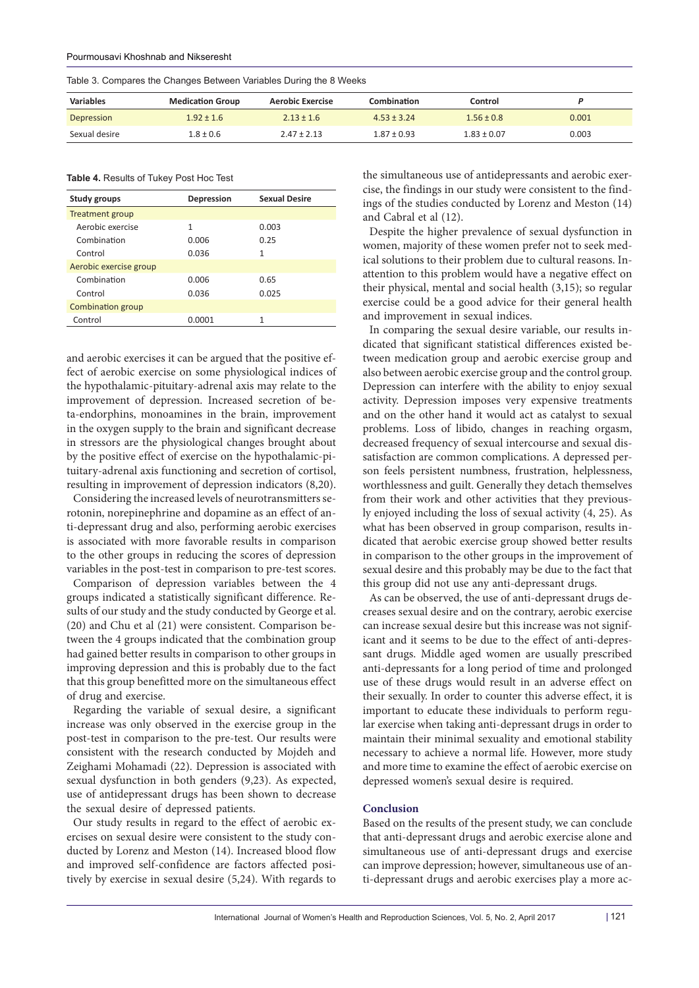|  |  | Table 3. Compares the Changes Between Variables During the 8 Weeks |  |  |  |  |  |
|--|--|--------------------------------------------------------------------|--|--|--|--|--|
|--|--|--------------------------------------------------------------------|--|--|--|--|--|

| <b>Variables</b> | <b>Medication Group</b> | Aerobic Exercise | <b>Combination</b> | Control         |       |
|------------------|-------------------------|------------------|--------------------|-----------------|-------|
| Depression       | $1.92 \pm 1.6$          | $2.13 \pm 1.6$   | $4.53 \pm 3.24$    | $1.56 + 0.8$    | 0.001 |
| Sexual desire    | $1.8 \pm 0.6$           | $2.47 \pm 2.13$  | $1.87 \pm 0.93$    | $1.83 \pm 0.07$ | 0.003 |

**Table 4.** Results of Tukey Post Hoc Test

| <b>Study groups</b>      | Depression | <b>Sexual Desire</b> |
|--------------------------|------------|----------------------|
| Treatment group          |            |                      |
| Aerobic exercise         | 1          | 0.003                |
| Combination              | 0.006      | 0.25                 |
| Control                  | 0.036      | 1                    |
| Aerobic exercise group   |            |                      |
| Combination              | 0.006      | 0.65                 |
| Control                  | 0.036      | 0.025                |
| <b>Combination group</b> |            |                      |
| Control                  | 0.0001     | 1                    |
|                          |            |                      |

and aerobic exercises it can be argued that the positive effect of aerobic exercise on some physiological indices of the hypothalamic-pituitary-adrenal axis may relate to the improvement of depression. Increased secretion of beta-endorphins, monoamines in the brain, improvement in the oxygen supply to the brain and significant decrease in stressors are the physiological changes brought about by the positive effect of exercise on the hypothalamic-pituitary-adrenal axis functioning and secretion of cortisol, resulting in improvement of depression indicators (8,20).

Considering the increased levels of neurotransmitters serotonin, norepinephrine and dopamine as an effect of anti-depressant drug and also, performing aerobic exercises is associated with more favorable results in comparison to the other groups in reducing the scores of depression variables in the post-test in comparison to pre-test scores.

Comparison of depression variables between the 4 groups indicated a statistically significant difference. Results of our study and the study conducted by George et al. (20) and Chu et al (21) were consistent. Comparison between the 4 groups indicated that the combination group had gained better results in comparison to other groups in improving depression and this is probably due to the fact that this group benefitted more on the simultaneous effect of drug and exercise.

Regarding the variable of sexual desire, a significant increase was only observed in the exercise group in the post-test in comparison to the pre-test. Our results were consistent with the research conducted by Mojdeh and Zeighami Mohamadi (22). Depression is associated with sexual dysfunction in both genders (9,23). As expected, use of antidepressant drugs has been shown to decrease the sexual desire of depressed patients.

Our study results in regard to the effect of aerobic exercises on sexual desire were consistent to the study conducted by Lorenz and Meston (14). Increased blood flow and improved self-confidence are factors affected positively by exercise in sexual desire (5,24). With regards to the simultaneous use of antidepressants and aerobic exercise, the findings in our study were consistent to the findings of the studies conducted by Lorenz and Meston (14) and Cabral et al (12).

Despite the higher prevalence of sexual dysfunction in women, majority of these women prefer not to seek medical solutions to their problem due to cultural reasons. Inattention to this problem would have a negative effect on their physical, mental and social health (3,15); so regular exercise could be a good advice for their general health and improvement in sexual indices.

In comparing the sexual desire variable, our results indicated that significant statistical differences existed between medication group and aerobic exercise group and also between aerobic exercise group and the control group. Depression can interfere with the ability to enjoy sexual activity. Depression imposes very expensive treatments and on the other hand it would act as catalyst to sexual problems. Loss of libido, changes in reaching orgasm, decreased frequency of sexual intercourse and sexual dissatisfaction are common complications. A depressed person feels persistent numbness, frustration, helplessness, worthlessness and guilt. Generally they detach themselves from their work and other activities that they previously enjoyed including the loss of sexual activity (4, 25). As what has been observed in group comparison, results indicated that aerobic exercise group showed better results in comparison to the other groups in the improvement of sexual desire and this probably may be due to the fact that this group did not use any anti-depressant drugs.

As can be observed, the use of anti-depressant drugs decreases sexual desire and on the contrary, aerobic exercise can increase sexual desire but this increase was not significant and it seems to be due to the effect of anti-depressant drugs. Middle aged women are usually prescribed anti-depressants for a long period of time and prolonged use of these drugs would result in an adverse effect on their sexually. In order to counter this adverse effect, it is important to educate these individuals to perform regular exercise when taking anti-depressant drugs in order to maintain their minimal sexuality and emotional stability necessary to achieve a normal life. However, more study and more time to examine the effect of aerobic exercise on depressed women's sexual desire is required.

#### **Conclusion**

Based on the results of the present study, we can conclude that anti-depressant drugs and aerobic exercise alone and simultaneous use of anti-depressant drugs and exercise can improve depression; however, simultaneous use of anti-depressant drugs and aerobic exercises play a more ac-